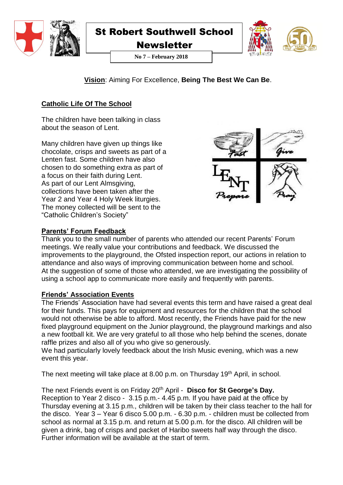

**Newsletter** 



**No 7 – February 2018**

**Vision**: Aiming For Excellence, **Being The Best We Can Be**.

# **Catholic Life Of The School**

The children have been talking in class about the season of Lent.

Many children have given up things like chocolate, crisps and sweets as part of a Lenten fast. Some children have also chosen to do something extra as part of a focus on their faith during Lent. As part of our Lent Almsgiving, collections have been taken after the Year 2 and Year 4 Holy Week liturgies. The money collected will be sent to the "Catholic Children's Society"



# **Parents' Forum Feedback**

Thank you to the small number of parents who attended our recent Parents' Forum meetings. We really value your contributions and feedback. We discussed the improvements to the playground, the Ofsted inspection report, our actions in relation to attendance and also ways of improving communication between home and school. At the suggestion of some of those who attended, we are investigating the possibility of using a school app to communicate more easily and frequently with parents.

# **Friends' Association Events**

The Friends' Association have had several events this term and have raised a great deal for their funds. This pays for equipment and resources for the children that the school would not otherwise be able to afford. Most recently, the Friends have paid for the new fixed playground equipment on the Junior playground, the playground markings and also a new football kit. We are very grateful to all those who help behind the scenes, donate raffle prizes and also all of you who give so generously.

We had particularly lovely feedback about the Irish Music evening, which was a new event this year.

The next meeting will take place at 8.00 p.m. on Thursday 19th April, in school.

# The next Friends event is on Friday 20th April - **Disco for St George's Day.**

Reception to Year 2 disco - 3.15 p.m.- 4.45 p.m. If you have paid at the office by Thursday evening at 3.15 p.m., children will be taken by their class teacher to the hall for the disco. Year  $3 -$  Year 6 disco 5.00 p.m. - 6.30 p.m. - children must be collected from school as normal at 3.15 p.m. and return at 5.00 p.m. for the disco. All children will be given a drink, bag of crisps and packet of Haribo sweets half way through the disco. Further information will be available at the start of term.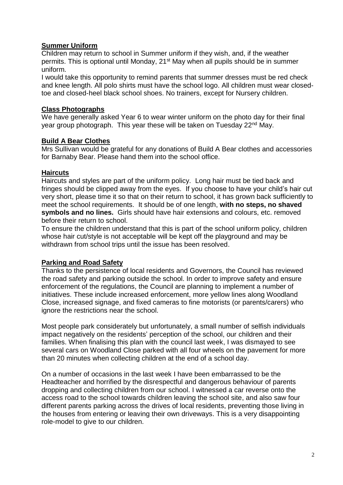## **Summer Uniform**

Children may return to school in Summer uniform if they wish, and, if the weather permits. This is optional until Monday, 21<sup>st</sup> May when all pupils should be in summer uniform.

I would take this opportunity to remind parents that summer dresses must be red check and knee length. All polo shirts must have the school logo. All children must wear closedtoe and closed-heel black school shoes. No trainers, except for Nursery children.

### **Class Photographs**

We have generally asked Year 6 to wear winter uniform on the photo day for their final year group photograph. This year these will be taken on Tuesday 22<sup>nd</sup> May.

#### **Build A Bear Clothes**

Mrs Sullivan would be grateful for any donations of Build A Bear clothes and accessories for Barnaby Bear. Please hand them into the school office.

#### **Haircuts**

Haircuts and styles are part of the uniform policy. Long hair must be tied back and fringes should be clipped away from the eyes. If you choose to have your child's hair cut very short, please time it so that on their return to school, it has grown back sufficiently to meet the school requirements. It should be of one length, **with no steps, no shaved symbols and no lines.** Girls should have hair extensions and colours, etc. removed before their return to school.

To ensure the children understand that this is part of the school uniform policy, children whose hair cut/style is not acceptable will be kept off the playground and may be withdrawn from school trips until the issue has been resolved.

#### **Parking and Road Safety**

Thanks to the persistence of local residents and Governors, the Council has reviewed the road safety and parking outside the school. In order to improve safety and ensure enforcement of the regulations, the Council are planning to implement a number of initiatives. These include increased enforcement, more yellow lines along Woodland Close, increased signage, and fixed cameras to fine motorists (or parents/carers) who ignore the restrictions near the school.

Most people park considerately but unfortunately, a small number of selfish individuals impact negatively on the residents' perception of the school, our children and their families. When finalising this plan with the council last week, I was dismayed to see several cars on Woodland Close parked with all four wheels on the pavement for more than 20 minutes when collecting children at the end of a school day.

On a number of occasions in the last week I have been embarrassed to be the Headteacher and horrified by the disrespectful and dangerous behaviour of parents dropping and collecting children from our school. I witnessed a car reverse onto the access road to the school towards children leaving the school site, and also saw four different parents parking across the drives of local residents, preventing those living in the houses from entering or leaving their own driveways. This is a very disappointing role-model to give to our children.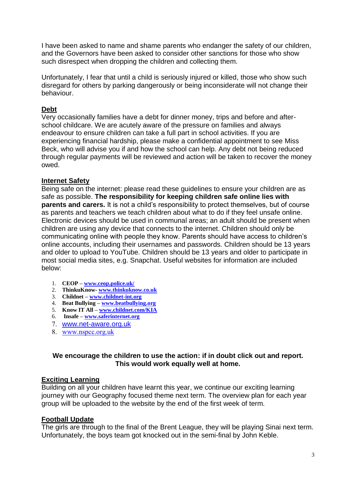I have been asked to name and shame parents who endanger the safety of our children, and the Governors have been asked to consider other sanctions for those who show such disrespect when dropping the children and collecting them.

Unfortunately, I fear that until a child is seriously injured or killed, those who show such disregard for others by parking dangerously or being inconsiderate will not change their behaviour.

### **Debt**

Very occasionally families have a debt for dinner money, trips and before and afterschool childcare. We are acutely aware of the pressure on families and always endeavour to ensure children can take a full part in school activities. If you are experiencing financial hardship, please make a confidential appointment to see Miss Beck, who will advise you if and how the school can help. Any debt not being reduced through regular payments will be reviewed and action will be taken to recover the money owed.

### **Internet Safety**

Being safe on the internet: please read these guidelines to ensure your children are as safe as possible. **The responsibility for keeping children safe online lies with parents and carers.** It is not a child's responsibility to protect themselves, but of course as parents and teachers we teach children about what to do if they feel unsafe online. Electronic devices should be used in communal areas; an adult should be present when children are using any device that connects to the internet. Children should only be communicating online with people they know. Parents should have access to children's online accounts, including their usernames and passwords. Children should be 13 years and older to upload to YouTube. Children should be 13 years and older to participate in most social media sites, e.g. Snapchat. Useful websites for information are included below:

- 1. **CEOP – [www.ceop.police.uk/](http://www.ceop.police.uk/)**
- 2. **ThinkuKnow- [www.thinkuknow.co.uk](http://www.thinkuknow.co.uk/)**
- 3. **Childnet – [www.childnet-int.org](http://www.childnet-int.org/)**
- 4. **Beat Bullying – [www.beatbullying.org](http://www.beatbullying.org/)**
- 5. **Know IT All – [www.childnet.com/KIA](http://www.childnet.com/KIA)**
- 6. **Insafe – [www.saferinternet.org](http://www.saferinternet.org/)**
- 7. [www.net-aware.org.uk](http://www.net-aware.org.uk/)
- 8. [www.nspcc.org.uk](http://www.nspcc.org.uk/)

### **We encourage the children to use the action: if in doubt click out and report. This would work equally well at home.**

#### **Exciting Learning**

Building on all your children have learnt this year, we continue our exciting learning journey with our Geography focused theme next term. The overview plan for each year group will be uploaded to the website by the end of the first week of term.

#### **Football Update**

The girls are through to the final of the Brent League, they will be playing Sinai next term. Unfortunately, the boys team got knocked out in the semi-final by John Keble.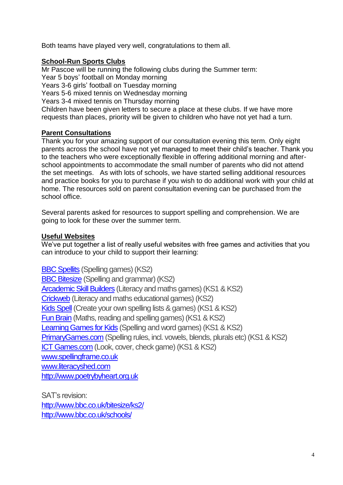Both teams have played very well, congratulations to them all.

## **School-Run Sports Clubs**

Mr Pascoe will be running the following clubs during the Summer term: Year 5 boys' football on Monday morning Years 3-6 girls' football on Tuesday morning Years 5-6 mixed tennis on Wednesday morning Years 3-4 mixed tennis on Thursday morning Children have been given letters to secure a place at these clubs. If we have more requests than places, priority will be given to children who have not yet had a turn.

# **Parent Consultations**

Thank you for your amazing support of our consultation evening this term. Only eight parents across the school have not yet managed to meet their child's teacher. Thank you to the teachers who were exceptionally flexible in offering additional morning and afterschool appointments to accommodate the small number of parents who did not attend the set meetings. As with lots of schools, we have started selling additional resources and practice books for you to purchase if you wish to do additional work with your child at home. The resources sold on parent consultation evening can be purchased from the school office.

Several parents asked for resources to support spelling and comprehension. We are going to look for these over the summer term.

## **Useful Websites**

We've put together a list of really useful websites with free games and activities that you can introduce to your child to support their learning:

[BBC Spellits](http://www.bbc.co.uk/schools/spellits/index.shtml) (Spelling games) (KS2) [BBC Bitesize](http://www.bbc.co.uk/schools/ks2bitesize/english/spelling_grammar/) (Spelling and grammar) (KS2) [Arcademic Skill Builders](http://www.arcademicskillbuilders.com/) (Literacy and maths games) (KS1 & KS2) [Crickweb](http://www.crickweb.co.uk/ks2literacy.html) (Literacy and maths educational games) (KS2) [Kids Spell](http://www.kidsspell.com/) (Create your own spelling lists & games) (KS1 & KS2) [Fun Brain](http://www.funbrain.com/spell/) (Maths, reading and spelling games) (KS1 & KS2) [Learning Games for Kids](http://www.learninggamesforkids.com/spelling_games.html) (Spelling and word games) (KS1 & KS2) [PrimaryGames.com](http://www.primarygames.com/see-n-spell/see-n-spell.htm) (Spelling rules, incl. vowels, blends, plurals etc) (KS1 & KS2) [ICT Games.com](http://www.ictgames.com/lcwc.html) (Look, cover, check game) (KS1 & KS2) [www.spellingframe.co.uk](http://www.spellingframe.co.uk/) [www.literacyshed.com](http://www.literacyshed.com/) [http://www.poetrybyheart.org.uk](http://www.poetrybyheart.org.uk/)

SAT's revision: <http://www.bbc.co.uk/bitesize/ks2/> <http://www.bbc.co.uk/schools/>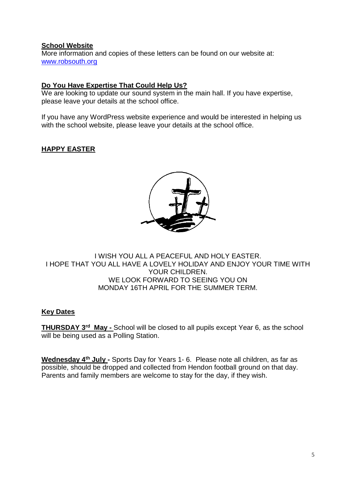## **School Website**

More information and copies of these letters can be found on our website at: [www.robsouth.org](http://www.robsouth.org/)

## **Do You Have Expertise That Could Help Us?**

We are looking to update our sound system in the main hall. If you have expertise, please leave your details at the school office.

If you have any WordPress website experience and would be interested in helping us with the school website, please leave your details at the school office.

# **HAPPY EASTER**



### I WISH YOU ALL A PEACEFUL AND HOLY EASTER. I HOPE THAT YOU ALL HAVE A LOVELY HOLIDAY AND ENJOY YOUR TIME WITH YOUR CHILDREN. WE LOOK FORWARD TO SEEING YOU ON MONDAY 16TH APRIL FOR THE SUMMER TERM.

## **Key Dates**

**THURSDAY 3rd May -** School will be closed to all pupils except Year 6, as the school will be being used as a Polling Station.

**Wednesday 4th July -** Sports Day for Years 1- 6. Please note all children, as far as possible, should be dropped and collected from Hendon football ground on that day. Parents and family members are welcome to stay for the day, if they wish.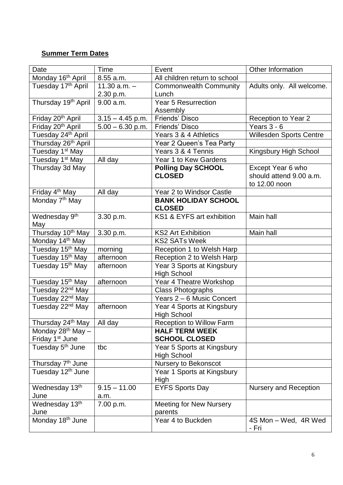# **Summer Term Dates**

| Date                                    | Time               | Event                           | Other Information              |
|-----------------------------------------|--------------------|---------------------------------|--------------------------------|
| Monday 16 <sup>th</sup> April           | 8.55 a.m.          | All children return to school   |                                |
| Tuesday 17 <sup>th</sup> April          | 11.30 $a.m. -$     | <b>Commonwealth Community</b>   | Adults only. All welcome.      |
|                                         | 2.30 p.m.          | Lunch                           |                                |
| Thursday 19 <sup>th</sup> April         | 9.00 a.m.          | <b>Year 5 Resurrection</b>      |                                |
|                                         |                    | Assembly                        |                                |
| Friday 20 <sup>th</sup> April           | $3.15 - 4.45$ p.m. | <b>Friends' Disco</b>           | Reception to Year 2            |
| Friday 20 <sup>th</sup> April           | $5.00 - 6.30$ p.m. | Friends' Disco                  | Years $3 - 6$                  |
| Tuesday 24 <sup>th</sup> April          |                    | Years 3 & 4 Athletics           | <b>Willesden Sports Centre</b> |
| Thursday 26 <sup>th</sup> April         |                    | Year 2 Queen's Tea Party        |                                |
| Tuesday 1 <sup>st</sup> May             |                    | Years 3 & 4 Tennis              | Kingsbury High School          |
| Tuesday 1 <sup>st</sup> May             | All day            | Year 1 to Kew Gardens           |                                |
| Thursday 3d May                         |                    | <b>Polling Day SCHOOL</b>       | Except Year 6 who              |
|                                         |                    | <b>CLOSED</b>                   | should attend 9.00 a.m.        |
|                                         |                    |                                 | to 12.00 noon                  |
| Friday 4 <sup>th</sup> May              | All day            | Year 2 to Windsor Castle        |                                |
| Monday 7 <sup>th</sup> May              |                    | <b>BANK HOLIDAY SCHOOL</b>      |                                |
|                                         |                    | <b>CLOSED</b>                   |                                |
| Wednesday 9 <sup>th</sup>               | 3.30 p.m.          | KS1 & EYFS art exhibition       | Main hall                      |
| May                                     |                    |                                 |                                |
| Thursday 10 <sup>th</sup> May           | 3.30 p.m.          | <b>KS2 Art Exhibition</b>       | Main hall                      |
| Monday 14 <sup>th</sup> May             |                    | <b>KS2 SATs Week</b>            |                                |
| Tuesday 15 <sup>th</sup> May            | morning            | Reception 1 to Welsh Harp       |                                |
| Tuesday 15 <sup>th</sup> May            | afternoon          | Reception 2 to Welsh Harp       |                                |
| Tuesday 15 <sup>th</sup> May            | afternoon          | Year 3 Sports at Kingsbury      |                                |
|                                         |                    | <b>High School</b>              |                                |
| Tuesday 15 <sup>th</sup> May            | afternoon          | Year 4 Theatre Workshop         |                                |
| Tuesday 22 <sup>nd</sup> May            |                    | <b>Class Photographs</b>        |                                |
| Tuesday 22 <sup>nd</sup> May            |                    | Years 2 - 6 Music Concert       |                                |
| Tuesday 22 <sup>nd</sup> May            | afternoon          | Year 4 Sports at Kingsbury      |                                |
|                                         |                    | <b>High School</b>              |                                |
| Thursday 24 <sup>th</sup> May   All day |                    | <b>Reception to Willow Farm</b> |                                |
| Monday $28th$ May $-$                   |                    | <b>HALF TERM WEEK</b>           |                                |
| Friday 1 <sup>st</sup> June             |                    | <b>SCHOOL CLOSED</b>            |                                |
| Tuesday 5 <sup>th</sup> June            | tbc                | Year 5 Sports at Kingsbury      |                                |
|                                         |                    | <b>High School</b>              |                                |
| Thursday 7 <sup>th</sup> June           |                    | Nursery to Bekonscot            |                                |
| Tuesday 12 <sup>th</sup> June           |                    | Year 1 Sports at Kingsbury      |                                |
|                                         |                    | High                            |                                |
| Wednesday 13th                          | $9.15 - 11.00$     | <b>EYFS Sports Day</b>          | <b>Nursery and Reception</b>   |
| June                                    | a.m.               |                                 |                                |
| Wednesday 13th                          | 7.00 p.m.          | <b>Meeting for New Nursery</b>  |                                |
| June                                    |                    | parents                         |                                |
| Monday 18 <sup>th</sup> June            |                    | Year 4 to Buckden               | 4S Mon - Wed, 4R Wed<br>- Fri  |